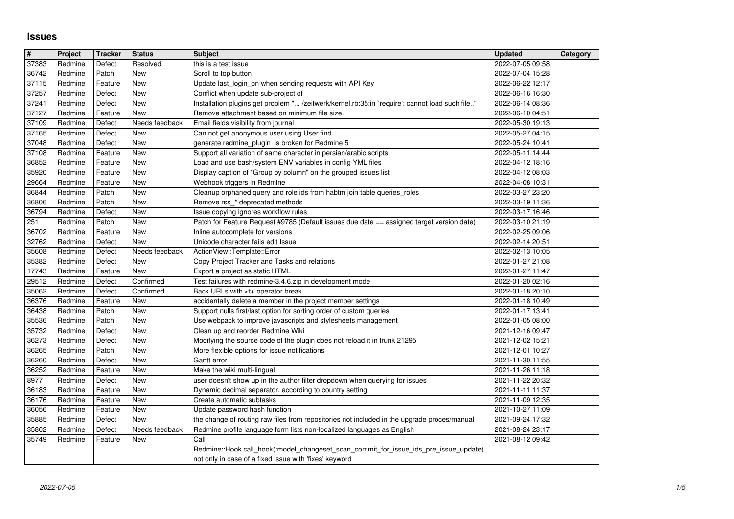## **Issues**

| $\overline{\mathbf{H}}$ | Project            | <b>Tracker</b>     | <b>Status</b>         | <b>Subject</b>                                                                                                                                                        | <b>Updated</b>                       | Category |
|-------------------------|--------------------|--------------------|-----------------------|-----------------------------------------------------------------------------------------------------------------------------------------------------------------------|--------------------------------------|----------|
| 37383                   | Redmine            | Defect             | Resolved              | this is a test issue                                                                                                                                                  | 2022-07-05 09:58                     |          |
| 36742                   | Redmine            | Patch              | New                   | Scroll to top button                                                                                                                                                  | 2022-07-04 15:28                     |          |
| 37115<br>37257          | Redmine<br>Redmine | Feature<br>Defect  | New<br>New            | Update last_login_on when sending requests with API Key<br>Conflict when update sub-project of                                                                        | 2022-06-22 12:17<br>2022-06-16 16:30 |          |
| 37241                   | Redmine            | Defect             | New                   | Installation plugins get problem " /zeitwerk/kernel.rb:35:in `require': cannot load such file"                                                                        | 2022-06-14 08:36                     |          |
| 37127                   | Redmine            | Feature            | New                   | Remove attachment based on minimum file size.                                                                                                                         | 2022-06-10 04:51                     |          |
| 37109                   | Redmine            | Defect             | Needs feedback        | Email fields visibility from journal                                                                                                                                  | 2022-05-30 19:13                     |          |
| 37165<br>37048          | Redmine<br>Redmine | Defect<br>Defect   | New<br>New            | Can not get anonymous user using User.find<br>generate redmine_plugin_is broken for Redmine 5                                                                         | 2022-05-27 04:15<br>2022-05-24 10:41 |          |
| 37108                   | Redmine            | Feature            | <b>New</b>            | Support all variation of same character in persian/arabic scripts                                                                                                     | 2022-05-11 14:44                     |          |
| 36852                   | Redmine            | Feature            | New                   | Load and use bash/system ENV variables in config YML files                                                                                                            | 2022-04-12 18:16                     |          |
| 35920                   | Redmine<br>Redmine | Feature<br>Feature | New<br>New            | Display caption of "Group by column" on the grouped issues list<br>Webhook triggers in Redmine                                                                        | 2022-04-12 08:03<br>2022-04-08 10:31 |          |
| 29664<br>36844          | Redmine            | Patch              | New                   | Cleanup orphaned query and role ids from habtm join table queries_roles                                                                                               | 2022-03-27 23:20                     |          |
| 36806                   | Redmine            | Patch              | New                   | Remove rss_* deprecated methods                                                                                                                                       | 2022-03-19 11:36                     |          |
| 36794                   | Redmine            | Defect             | New                   | Issue copying ignores workflow rules                                                                                                                                  | 2022-03-17 16:46                     |          |
| 251<br>36702            | Redmine<br>Redmine | Patch<br>Feature   | New<br>New            | Patch for Feature Request #9785 (Default issues due date == assigned target version date)<br>Inline autocomplete for versions                                         | 2022-03-10 21:19<br>2022-02-25 09:06 |          |
| 32762                   | Redmine            | Defect             | New                   | Unicode character fails edit Issue                                                                                                                                    | 2022-02-14 20:51                     |          |
| 35608                   | Redmine            | Defect             | Needs feedback        | ActionView::Template::Error                                                                                                                                           | 2022-02-13 10:05                     |          |
| 35382                   | Redmine            | Defect             | New                   | Copy Project Tracker and Tasks and relations                                                                                                                          | 2022-01-27 21:08                     |          |
| 17743<br>29512          | Redmine<br>Redmine | Feature<br>Defect  | New<br>Confirmed      | Export a project as static HTML<br>Test failures with redmine-3.4.6.zip in development mode                                                                           | 2022-01-27 11:47<br>2022-01-20 02:16 |          |
| 35062                   | Redmine            | Defect             | Confirmed             | Back URLs with <t+ break<="" operator="" td=""><td>2022-01-18 20:10</td><td></td></t+>                                                                                | 2022-01-18 20:10                     |          |
| 36376                   | Redmine            | Feature            | New                   | accidentally delete a member in the project member settings                                                                                                           | 2022-01-18 10:49                     |          |
| 36438                   | Redmine            | Patch              | New                   | Support nulls first/last option for sorting order of custom queries                                                                                                   | 2022-01-17 13:41                     |          |
| 35536<br>35732          | Redmine<br>Redmine | Patch<br>Defect    | New<br>New            | Use webpack to improve javascripts and stylesheets management<br>Clean up and reorder Redmine Wiki                                                                    | 2022-01-05 08:00<br>2021-12-16 09:47 |          |
| 36273                   | Redmine            | Defect             | New                   | Modifying the source code of the plugin does not reload it in trunk 21295                                                                                             | 2021-12-02 15:21                     |          |
| 36265                   | Redmine            | Patch              | New                   | More flexible options for issue notifications                                                                                                                         | 2021-12-01 10:27                     |          |
| 36260                   | Redmine            | Defect             | New                   | Gantt error                                                                                                                                                           | 2021-11-30 11:55                     |          |
| 36252<br>8977           | Redmine<br>Redmine | Feature<br>Defect  | New<br>New            | Make the wiki multi-lingual<br>user doesn't show up in the author filter dropdown when querying for issues                                                            | 2021-11-26 11:18<br>2021-11-22 20:32 |          |
| 36183                   | Redmine            | Feature            | New                   | Dynamic decimal separator, according to country setting                                                                                                               | 2021-11-11 11:37                     |          |
| 36176                   | Redmine            | Feature            | New                   | Create automatic subtasks                                                                                                                                             | 2021-11-09 12:35                     |          |
| 36056                   | Redmine            | Feature            | New                   | Update password hash function                                                                                                                                         | 2021-10-27 11:09                     |          |
| 35885<br>35802          | Redmine<br>Redmine | Defect<br>Defect   | New<br>Needs feedback | the change of routing raw files from repositories not included in the upgrade proces/manual<br>Redmine profile language form lists non-localized languages as English | 2021-09-24 17:32<br>2021-08-24 23:17 |          |
| 35749                   | Redmine            | Feature            | New                   | Call                                                                                                                                                                  | 2021-08-12 09:42                     |          |
|                         |                    |                    |                       | Redmine::Hook.call_hook(:model_changeset_scan_commit_for_issue_ids_pre_issue_update)<br>not only in case of a fixed issue with 'fixes' keyword                        |                                      |          |
|                         |                    |                    |                       |                                                                                                                                                                       |                                      |          |
|                         |                    |                    |                       |                                                                                                                                                                       |                                      |          |
|                         |                    |                    |                       |                                                                                                                                                                       |                                      |          |
|                         |                    |                    |                       |                                                                                                                                                                       |                                      |          |
|                         |                    |                    |                       |                                                                                                                                                                       |                                      |          |
|                         |                    |                    |                       |                                                                                                                                                                       |                                      |          |
|                         |                    |                    |                       |                                                                                                                                                                       |                                      |          |
|                         |                    |                    |                       |                                                                                                                                                                       |                                      |          |
|                         |                    |                    |                       |                                                                                                                                                                       |                                      |          |
|                         |                    |                    |                       |                                                                                                                                                                       |                                      |          |
|                         |                    |                    |                       |                                                                                                                                                                       |                                      |          |
|                         |                    |                    |                       |                                                                                                                                                                       |                                      |          |
|                         |                    |                    |                       |                                                                                                                                                                       |                                      |          |
|                         |                    |                    |                       |                                                                                                                                                                       |                                      |          |
|                         |                    |                    |                       |                                                                                                                                                                       |                                      |          |
|                         |                    |                    |                       |                                                                                                                                                                       |                                      |          |
|                         |                    |                    |                       |                                                                                                                                                                       |                                      |          |
|                         |                    |                    |                       |                                                                                                                                                                       |                                      |          |
|                         |                    |                    |                       |                                                                                                                                                                       |                                      |          |
|                         |                    |                    |                       |                                                                                                                                                                       |                                      |          |
|                         |                    |                    |                       |                                                                                                                                                                       |                                      |          |
|                         |                    |                    |                       |                                                                                                                                                                       |                                      |          |
|                         |                    |                    |                       |                                                                                                                                                                       |                                      |          |
|                         |                    |                    |                       |                                                                                                                                                                       |                                      |          |
|                         |                    |                    |                       |                                                                                                                                                                       |                                      |          |
|                         |                    |                    |                       |                                                                                                                                                                       |                                      |          |
|                         |                    |                    |                       |                                                                                                                                                                       |                                      |          |
|                         |                    |                    |                       |                                                                                                                                                                       |                                      |          |
|                         |                    |                    |                       |                                                                                                                                                                       |                                      |          |
|                         |                    |                    |                       |                                                                                                                                                                       |                                      |          |
|                         |                    |                    |                       |                                                                                                                                                                       |                                      |          |
|                         |                    |                    |                       |                                                                                                                                                                       |                                      |          |
|                         |                    |                    |                       |                                                                                                                                                                       |                                      |          |
|                         |                    |                    |                       |                                                                                                                                                                       |                                      |          |
|                         |                    |                    |                       |                                                                                                                                                                       |                                      |          |
|                         |                    |                    |                       |                                                                                                                                                                       |                                      |          |
|                         |                    |                    |                       |                                                                                                                                                                       |                                      |          |
|                         |                    |                    |                       |                                                                                                                                                                       |                                      |          |
|                         |                    |                    |                       |                                                                                                                                                                       |                                      |          |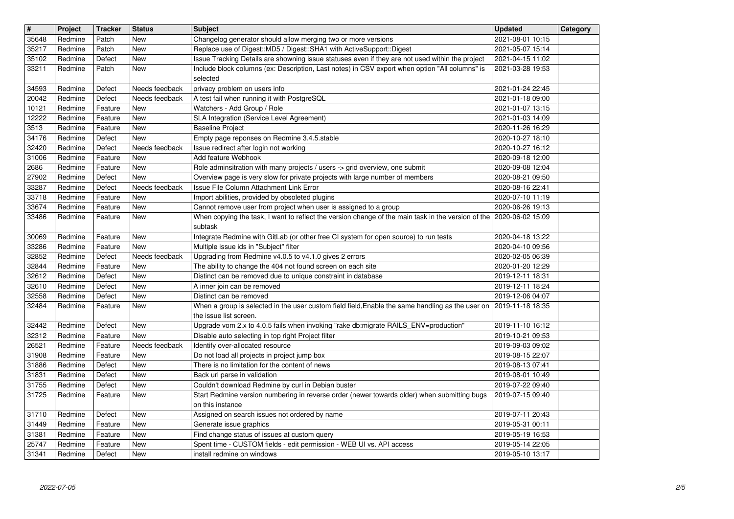| $\overline{\mathbf{H}}$ | Project            | <b>Tracker</b>     | <b>Status</b>                | <b>Subject</b>                                                                                                                                                             | <b>Updated</b>                       | Category |
|-------------------------|--------------------|--------------------|------------------------------|----------------------------------------------------------------------------------------------------------------------------------------------------------------------------|--------------------------------------|----------|
| 35648                   | Redmine            | Patch              | <b>New</b>                   | Changelog generator should allow merging two or more versions                                                                                                              | 2021-08-01 10:15                     |          |
| 35217<br>35102          | Redmine<br>Redmine | Patch<br>Defect    | <b>New</b><br><b>New</b>     | Replace use of Digest:: MD5 / Digest:: SHA1 with ActiveSupport:: Digest<br>Issue Tracking Details are showning issue statuses even if they are not used within the project | 2021-05-07 15:14<br>2021-04-15 11:02 |          |
| 33211                   | Redmine            | Patch              | New                          | Include block columns (ex: Description, Last notes) in CSV export when option "All columns" is                                                                             | 2021-03-28 19:53                     |          |
|                         |                    |                    |                              | selected                                                                                                                                                                   |                                      |          |
| 34593                   | Redmine            | Defect             | Needs feedback               | privacy problem on users info                                                                                                                                              | 2021-01-24 22:45                     |          |
| 20042<br>10121          | Redmine<br>Redmine | Defect<br>Feature  | Needs feedback<br>New        | A test fail when running it with PostgreSQL<br>Watchers - Add Group / Role                                                                                                 | 2021-01-18 09:00<br>2021-01-07 13:15 |          |
| 12222                   | Redmine            | Feature            | New                          | SLA Integration (Service Level Agreement)                                                                                                                                  | 2021-01-03 14:09                     |          |
| 3513                    | Redmine            | Feature            | New                          | <b>Baseline Project</b>                                                                                                                                                    | 2020-11-26 16:29                     |          |
| 34176                   | Redmine            | Defect             | New                          | Empty page reponses on Redmine 3.4.5.stable                                                                                                                                | 2020-10-27 18:10                     |          |
| 32420<br>31006          | Redmine<br>Redmine | Defect<br>Feature  | Needs feedback<br><b>New</b> | Issue redirect after login not working<br>Add feature Webhook                                                                                                              | 2020-10-27 16:12<br>2020-09-18 12:00 |          |
| 2686                    | Redmine            | Feature            | <b>New</b>                   | Role adminsitration with many projects / users -> grid overview, one submit                                                                                                | 2020-09-08 12:04                     |          |
| 27902                   | Redmine            | Defect             | <b>New</b>                   | Overview page is very slow for private projects with large number of members                                                                                               | 2020-08-21 09:50                     |          |
| 33287                   | Redmine            | Defect             | Needs feedback               | Issue File Column Attachment Link Error                                                                                                                                    | 2020-08-16 22:41                     |          |
| 33718<br>33674          | Redmine<br>Redmine | Feature<br>Feature | New<br><b>New</b>            | Import abilities, provided by obsoleted plugins<br>Cannot remove user from project when user is assigned to a group                                                        | 2020-07-10 11:19<br>2020-06-26 19:13 |          |
| 33486                   | Redmine            | Feature            | <b>New</b>                   | When copying the task, I want to reflect the version change of the main task in the version of the 2020-06-02 15:09                                                        |                                      |          |
|                         |                    |                    |                              | subtask                                                                                                                                                                    |                                      |          |
| 30069                   | Redmine            | Feature            | New                          | Integrate Redmine with GitLab (or other free CI system for open source) to run tests                                                                                       | 2020-04-18 13:22                     |          |
| 33286<br>32852          | Redmine<br>Redmine | Feature<br>Defect  | New<br>Needs feedback        | Multiple issue ids in "Subject" filter<br>Upgrading from Redmine v4.0.5 to v4.1.0 gives 2 errors                                                                           | 2020-04-10 09:56<br>2020-02-05 06:39 |          |
| 32844                   | Redmine            | Feature            | New                          | The ability to change the 404 not found screen on each site                                                                                                                | 2020-01-20 12:29                     |          |
| 32612                   | Redmine            | Defect             | New                          | Distinct can be removed due to unique constraint in database                                                                                                               | 2019-12-11 18:31                     |          |
| 32610<br>32558          | Redmine<br>Redmine | Defect<br>Defect   | <b>New</b><br><b>New</b>     | A inner join can be removed<br>Distinct can be removed                                                                                                                     | 2019-12-11 18:24<br>2019-12-06 04:07 |          |
| 32484                   | Redmine            | Feature            | New                          | When a group is selected in the user custom field field, Enable the same handling as the user on                                                                           | 2019-11-18 18:35                     |          |
|                         |                    |                    |                              | the issue list screen.                                                                                                                                                     |                                      |          |
| 32442                   | Redmine            | Defect             | <b>New</b>                   | Upgrade vom 2.x to 4.0.5 fails when invoking "rake db:migrate RAILS_ENV=production"                                                                                        | 2019-11-10 16:12                     |          |
| 32312<br>26521          | Redmine<br>Redmine | Feature<br>Feature | <b>New</b><br>Needs feedback | Disable auto selecting in top right Project filter<br>Identify over-allocated resource                                                                                     | 2019-10-21 09:53<br>2019-09-03 09:02 |          |
| 31908                   | Redmine            | Feature            | New                          | Do not load all projects in project jump box                                                                                                                               | 2019-08-15 22:07                     |          |
| 31886                   | Redmine            | Defect             | <b>New</b>                   | There is no limitation for the content of news                                                                                                                             | 2019-08-13 07:41                     |          |
| 31831                   | Redmine            | Defect             | New                          | Back url parse in validation                                                                                                                                               | 2019-08-01 10:49                     |          |
| 31755<br>31725          | Redmine<br>Redmine | Defect<br>Feature  | New<br><b>New</b>            | Couldn't download Redmine by curl in Debian buster<br>Start Redmine version numbering in reverse order (newer towards older) when submitting bugs                          | 2019-07-22 09:40<br>2019-07-15 09:40 |          |
|                         |                    |                    |                              | on this instance                                                                                                                                                           |                                      |          |
|                         | 31710 Redmine      | Defect             | New                          | Assigned on search issues not ordered by name                                                                                                                              | 2019-07-11 20:43                     |          |
| 31449                   | Redmine            | Feature            | New                          | Generate issue graphics                                                                                                                                                    | 2019-05-31 00:11                     |          |
| 31381<br>25747          | Redmine<br>Redmine | Feature<br>Feature | New<br>New                   | Find change status of issues at custom query<br>Spent time - CUSTOM fields - edit permission - WEB UI vs. API access                                                       | 2019-05-19 16:53<br>2019-05-14 22:05 |          |
| 31341                   | Redmine            | Defect             | New                          | install redmine on windows                                                                                                                                                 | 2019-05-10 13:17                     |          |
|                         |                    |                    |                              |                                                                                                                                                                            |                                      |          |
|                         |                    |                    |                              |                                                                                                                                                                            |                                      |          |
|                         |                    |                    |                              |                                                                                                                                                                            |                                      |          |
|                         |                    |                    |                              |                                                                                                                                                                            |                                      |          |
|                         |                    |                    |                              |                                                                                                                                                                            |                                      |          |
|                         |                    |                    |                              |                                                                                                                                                                            |                                      |          |
|                         |                    |                    |                              |                                                                                                                                                                            |                                      |          |
|                         |                    |                    |                              |                                                                                                                                                                            |                                      |          |
|                         |                    |                    |                              |                                                                                                                                                                            |                                      |          |
|                         |                    |                    |                              |                                                                                                                                                                            |                                      |          |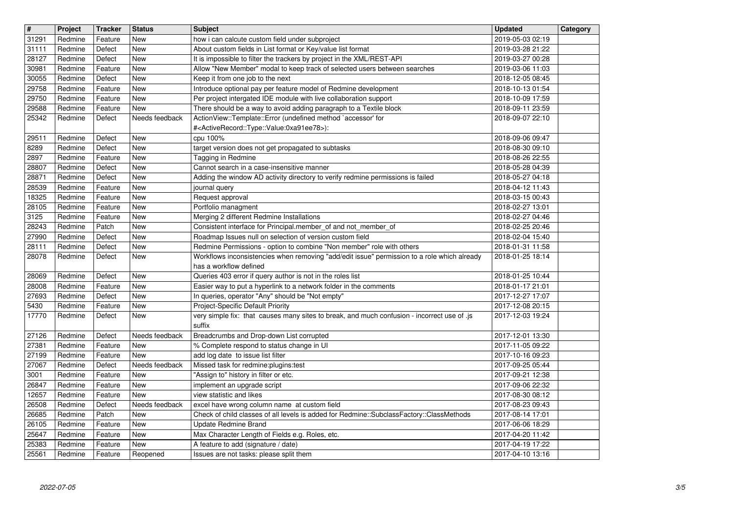| $\overline{\mathbf{H}}$ | Project            | <b>Tracker</b>     | <b>Status</b>            | <b>Subject</b>                                                                                                                                                       | <b>Updated</b>                       | Category |
|-------------------------|--------------------|--------------------|--------------------------|----------------------------------------------------------------------------------------------------------------------------------------------------------------------|--------------------------------------|----------|
| 31291<br>31111          | Redmine<br>Redmine | Feature<br>Defect  | New<br>New               | how i can calcute custom field under subproject<br>About custom fields in List format or Key/value list format                                                       | 2019-05-03 02:19<br>2019-03-28 21:22 |          |
| 28127                   | Redmine            | Defect             | New                      | It is impossible to filter the trackers by project in the XML/REST-API                                                                                               | 2019-03-27 00:28                     |          |
| 30981<br>30055          | Redmine<br>Redmine | Feature<br>Defect  | New<br>New               | Allow "New Member" modal to keep track of selected users between searches<br>Keep it from one job to the next                                                        | 2019-03-06 11:03<br>2018-12-05 08:45 |          |
| 29758                   | Redmine            | Feature            | <b>New</b>               | Introduce optional pay per feature model of Redmine development                                                                                                      | 2018-10-13 01:54                     |          |
| 29750                   | Redmine            | Feature            | New                      | Per project intergated IDE module with live collaboration support                                                                                                    | 2018-10-09 17:59                     |          |
| 29588<br>25342          | Redmine<br>Redmine | Feature<br>Defect  | New<br>Needs feedback    | There should be a way to avoid adding paragraph to a Textile block<br>ActionView::Template::Error (undefined method `accessor' for                                   | 2018-09-11 23:59<br>2018-09-07 22:10 |          |
|                         |                    |                    |                          | # <activerecord::type::value:0xa91ee78>):</activerecord::type::value:0xa91ee78>                                                                                      |                                      |          |
| 29511<br>8289           | Redmine<br>Redmine | Defect<br>Defect   | New<br>New               | cpu 100%<br>target version does not get propagated to subtasks                                                                                                       | 2018-09-06 09:47<br>2018-08-30 09:10 |          |
| 2897                    | Redmine            | Feature            | New                      | Tagging in Redmine                                                                                                                                                   | 2018-08-26 22:55                     |          |
| 28807                   | Redmine            | Defect             | New                      | Cannot search in a case-insensitive manner                                                                                                                           | 2018-05-28 04:39                     |          |
| 28871<br>28539          | Redmine<br>Redmine | Defect<br>Feature  | New<br>New               | Adding the window AD activity directory to verify redmine permissions is failed<br>journal query                                                                     | 2018-05-27 04:18<br>2018-04-12 11:43 |          |
| 18325                   | Redmine            | Feature            | <b>New</b>               | Request approval                                                                                                                                                     | 2018-03-15 00:43                     |          |
| 28105<br>3125           | Redmine<br>Redmine | Feature            | <b>New</b><br>New        | Portfolio managment<br>Merging 2 different Redmine Installations                                                                                                     | 2018-02-27 13:01<br>2018-02-27 04:46 |          |
| 28243                   | Redmine            | Feature<br>Patch   | New                      | Consistent interface for Principal.member_of and not_member_of                                                                                                       | 2018-02-25 20:46                     |          |
| 27990                   | Redmine            | Defect             | New                      | Roadmap Issues null on selection of version custom field                                                                                                             | 2018-02-04 15:40                     |          |
| 28111<br>28078          | Redmine<br>Redmine | Defect<br>Defect   | New<br>New               | Redmine Permissions - option to combine "Non member" role with others<br>Workflows inconsistencies when removing "add/edit issue" permission to a role which already | 2018-01-31 11:58<br>2018-01-25 18:14 |          |
|                         |                    |                    |                          | has a workflow defined                                                                                                                                               |                                      |          |
| 28069                   | Redmine            | Defect             | <b>New</b>               | Queries 403 error if query author is not in the roles list                                                                                                           | 2018-01-25 10:44                     |          |
| 28008<br>27693          | Redmine<br>Redmine | Feature<br>Defect  | <b>New</b><br><b>New</b> | Easier way to put a hyperlink to a network folder in the comments<br>In queries, operator "Any" should be "Not empty"                                                | 2018-01-17 21:01<br>2017-12-27 17:07 |          |
| 5430                    | Redmine            | Feature            | New                      | Project-Specific Default Priority                                                                                                                                    | 2017-12-08 20:15                     |          |
| 17770                   | Redmine            | Defect             | New                      | very simple fix: that causes many sites to break, and much confusion - incorrect use of .js<br>suffix                                                                | 2017-12-03 19:24                     |          |
| 27126                   | Redmine            | Defect             | Needs feedback           | Breadcrumbs and Drop-down List corrupted                                                                                                                             | 2017-12-01 13:30                     |          |
| 27381                   | Redmine            | Feature            | New                      | % Complete respond to status change in UI                                                                                                                            | 2017-11-05 09:22                     |          |
| 27199<br>27067          | Redmine<br>Redmine | Feature<br>Defect  | New<br>Needs feedback    | add log date to issue list filter<br>Missed task for redmine:plugins:test                                                                                            | 2017-10-16 09:23<br>2017-09-25 05:44 |          |
| 3001                    | Redmine            | Feature            | New                      | "Assign to" history in filter or etc.                                                                                                                                | 2017-09-21 12:38                     |          |
| 26847<br>12657          | Redmine<br>Redmine | Feature<br>Feature | New<br>New               | implement an upgrade script<br>view statistic and likes                                                                                                              | 2017-09-06 22:32                     |          |
| 26508                   | Redmine            | Defect             | Needs feedback           | excel have wrong column name at custom field                                                                                                                         | 2017-08-30 08:12<br>2017-08-23 09:43 |          |
| 26685                   | Redmine            | Patch              | New                      | Check of child classes of all levels is added for Redmine::SubclassFactory::ClassMethods                                                                             | 2017-08-14 17:01                     |          |
| 26105<br>25647          | Redmine<br>Redmine | Feature<br>Feature | New<br>New               | Update Redmine Brand<br>Max Character Length of Fields e.g. Roles, etc.                                                                                              | 2017-06-06 18:29<br>2017-04-20 11:42 |          |
| 25383                   | Redmine            | Feature            | New                      | A feature to add (signature / date)                                                                                                                                  | 2017-04-19 17:22                     |          |
| 25561                   | Redmine            | Feature            | Reopened                 | Issues are not tasks: please split them                                                                                                                              | 2017-04-10 13:16                     |          |
|                         |                    |                    |                          |                                                                                                                                                                      |                                      |          |
|                         |                    |                    |                          |                                                                                                                                                                      |                                      |          |
|                         |                    |                    |                          |                                                                                                                                                                      |                                      |          |
|                         |                    |                    |                          |                                                                                                                                                                      |                                      |          |
|                         |                    |                    |                          |                                                                                                                                                                      |                                      |          |
|                         |                    |                    |                          |                                                                                                                                                                      |                                      |          |
|                         |                    |                    |                          |                                                                                                                                                                      |                                      |          |
|                         |                    |                    |                          |                                                                                                                                                                      |                                      |          |
|                         |                    |                    |                          |                                                                                                                                                                      |                                      |          |
|                         |                    |                    |                          |                                                                                                                                                                      |                                      |          |
|                         |                    |                    |                          |                                                                                                                                                                      |                                      |          |
|                         |                    |                    |                          |                                                                                                                                                                      |                                      |          |
|                         |                    |                    |                          |                                                                                                                                                                      |                                      |          |
|                         |                    |                    |                          |                                                                                                                                                                      |                                      |          |
|                         |                    |                    |                          |                                                                                                                                                                      |                                      |          |
|                         |                    |                    |                          |                                                                                                                                                                      |                                      |          |
|                         |                    |                    |                          |                                                                                                                                                                      |                                      |          |
|                         |                    |                    |                          |                                                                                                                                                                      |                                      |          |
|                         |                    |                    |                          |                                                                                                                                                                      |                                      |          |
|                         |                    |                    |                          |                                                                                                                                                                      |                                      |          |
|                         |                    |                    |                          |                                                                                                                                                                      |                                      |          |
|                         |                    |                    |                          |                                                                                                                                                                      |                                      |          |
|                         |                    |                    |                          |                                                                                                                                                                      |                                      |          |
|                         |                    |                    |                          |                                                                                                                                                                      |                                      |          |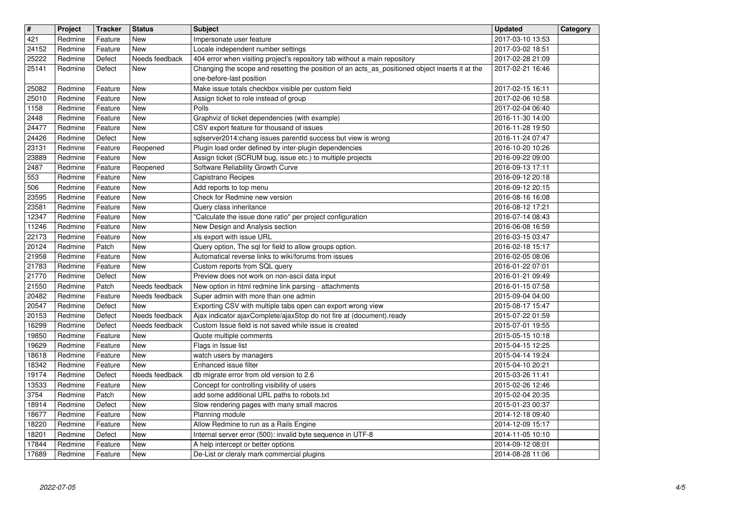| $\overline{\mathbf{H}}$ | Project            | <b>Tracker</b>     | <b>Status</b>                    | <b>Subject</b>                                                                                                       | <b>Updated</b>                       | Category |
|-------------------------|--------------------|--------------------|----------------------------------|----------------------------------------------------------------------------------------------------------------------|--------------------------------------|----------|
| 421                     | Redmine            | Feature            | New                              | Impersonate user feature                                                                                             | 2017-03-10 13:53                     |          |
| 24152<br>25222          | Redmine<br>Redmine | Feature<br>Defect  | <b>New</b><br>Needs feedback     | Locale independent number settings<br>404 error when visiting project's repository tab without a main repository     | 2017-03-02 18:51<br>2017-02-28 21:09 |          |
| 25141                   | Redmine            | Defect             | New                              | Changing the scope and resetting the position of an acts_as_positioned object inserts it at the                      | 2017-02-21 16:46                     |          |
|                         |                    |                    |                                  | one-before-last position                                                                                             |                                      |          |
| 25082                   | Redmine            | Feature            | <b>New</b>                       | Make issue totals checkbox visible per custom field                                                                  | 2017-02-15 16:11                     |          |
| 25010<br>1158           | Redmine<br>Redmine | Feature<br>Feature | New<br>New                       | Assign ticket to role instead of group<br>Polls                                                                      | 2017-02-06 10:58<br>2017-02-04 06:40 |          |
| 2448                    | Redmine            | Feature            | <b>New</b>                       | Graphviz of ticket dependencies (with example)                                                                       | 2016-11-30 14:00                     |          |
| 24477                   | Redmine            | Feature            | <b>New</b>                       | CSV export feature for thousand of issues                                                                            | 2016-11-28 19:50                     |          |
| 24426                   | Redmine            | Defect             | New                              | sqlserver2014:chang issues parentId success but view is wrong                                                        | 2016-11-24 07:47                     |          |
| 23131<br>23889          | Redmine<br>Redmine | Feature<br>Feature | Reopened<br>New                  | Plugin load order defined by inter-plugin dependencies<br>Assign ticket (SCRUM bug, issue etc.) to multiple projects | 2016-10-20 10:26<br>2016-09-22 09:00 |          |
| 2487                    | Redmine            | Feature            | Reopened                         | Software Reliability Growth Curve                                                                                    | 2016-09-13 17:11                     |          |
| 553                     | Redmine            | Feature            | New                              | Capistrano Recipes                                                                                                   | 2016-09-12 20:18                     |          |
| 506                     | Redmine            | Feature            | New                              | Add reports to top menu                                                                                              | 2016-09-12 20:15                     |          |
| 23595<br>23581          | Redmine<br>Redmine | Feature<br>Feature | <b>New</b><br><b>New</b>         | Check for Redmine new version<br>Query class inheritance                                                             | 2016-08-16 16:08<br>2016-08-12 17:21 |          |
| 12347                   | Redmine            | Feature            | <b>New</b>                       | "Calculate the issue done ratio" per project configuration                                                           | 2016-07-14 08:43                     |          |
| 11246                   | Redmine            | Feature            | <b>New</b>                       | New Design and Analysis section                                                                                      | 2016-06-08 16:59                     |          |
| 22173                   | Redmine<br>Redmine | Feature            | <b>New</b>                       | xls export with issue URL                                                                                            | 2016-03-15 03:47                     |          |
| 20124<br>21958          | Redmine            | Patch<br>Feature   | New<br>New                       | Query option, The sql for field to allow groups option.<br>Automatical reverse links to wiki/forums from issues      | 2016-02-18 15:17<br>2016-02-05 08:06 |          |
| 21783                   | Redmine            | Feature            | New                              | Custom reports from SQL query                                                                                        | 2016-01-22 07:01                     |          |
| 21770                   | Redmine            | Defect             | <b>New</b>                       | Preview does not work on non-ascii data input                                                                        | 2016-01-21 09:49                     |          |
| 21550<br>20482          | Redmine<br>Redmine | Patch<br>Feature   | Needs feedback<br>Needs feedback | New option in html redmine link parsing - attachments<br>Super admin with more than one admin                        | 2016-01-15 07:58<br>2015-09-04 04:00 |          |
| 20547                   | Redmine            | Defect             | New                              | Exporting CSV with multiple tabs open can export wrong view                                                          | 2015-08-17 15:47                     |          |
| 20153                   | Redmine            | Defect             | Needs feedback                   | Ajax indicator ajaxComplete/ajaxStop do not fire at (document).ready                                                 | 2015-07-22 01:59                     |          |
| 16299                   | Redmine            | Defect             | Needs feedback                   | Custom Issue field is not saved while issue is created                                                               | 2015-07-01 19:55                     |          |
| 19850<br>19629          | Redmine<br>Redmine | Feature<br>Feature | New<br>New                       | Quote multiple comments<br>Flags in Issue list                                                                       | 2015-05-15 10:18<br>2015-04-15 12:25 |          |
| 18618                   | Redmine            | Feature            | New                              | watch users by managers                                                                                              | 2015-04-14 19:24                     |          |
| 18342                   | Redmine            | Feature            | New                              | Enhanced issue filter                                                                                                | 2015-04-10 20:21                     |          |
| 19174                   | Redmine            | Defect             | Needs feedback                   | db migrate error from old version to 2.6                                                                             | 2015-03-26 11:41                     |          |
| 13533<br>3754           | Redmine<br>Redmine | Feature<br>Patch   | <b>New</b><br>New                | Concept for controlling visibility of users<br>add some additional URL paths to robots.txt                           | 2015-02-26 12:46<br>2015-02-04 20:35 |          |
| 18914                   | Redmine            | Defect             | <b>New</b>                       | Slow rendering pages with many small macros                                                                          | 2015-01-23 00:37                     |          |
| 18677                   | Redmine            | Feature            | New                              | Planning module                                                                                                      | 2014-12-18 09:40                     |          |
| 18220<br>18201          | Redmine<br>Redmine | Feature<br>Defect  | New<br>New                       | Allow Redmine to run as a Rails Engine<br>Internal server error (500): invalid byte sequence in UTF-8                | 2014-12-09 15:17<br>2014-11-05 10:10 |          |
| 17844                   | Redmine            | Feature            | New                              | A help intercept or better options                                                                                   | 2014-09-12 08:01                     |          |
| 17689                   | Redmine            | Feature            | New                              | De-List or cleraly mark commercial plugins                                                                           | 2014-08-28 11:06                     |          |
|                         |                    |                    |                                  |                                                                                                                      |                                      |          |
|                         |                    |                    |                                  |                                                                                                                      |                                      |          |
|                         |                    |                    |                                  |                                                                                                                      |                                      |          |
|                         |                    |                    |                                  |                                                                                                                      |                                      |          |
|                         |                    |                    |                                  |                                                                                                                      |                                      |          |
|                         |                    |                    |                                  |                                                                                                                      |                                      |          |
|                         |                    |                    |                                  |                                                                                                                      |                                      |          |
|                         |                    |                    |                                  |                                                                                                                      |                                      |          |
|                         |                    |                    |                                  |                                                                                                                      |                                      |          |
|                         |                    |                    |                                  |                                                                                                                      |                                      |          |
|                         |                    |                    |                                  |                                                                                                                      |                                      |          |
|                         |                    |                    |                                  |                                                                                                                      |                                      |          |